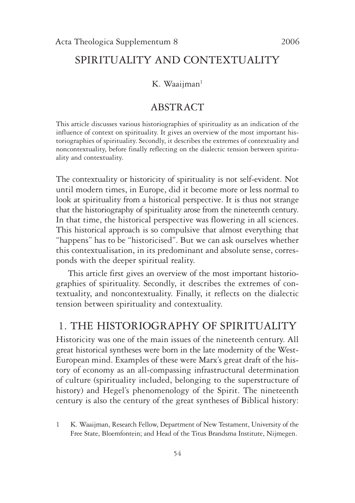# K. Waaijman $<sup>1</sup>$ </sup>

# ABSTRACT

This article discusses various historiographies of spirituality as an indication of the influence of context on spirituality. It gives an overview of the most important historiographies of spirituality. Secondly, it describes the extremes of contextuality and noncontextuality, before finally reflecting on the dialectic tension between spirituality and contextuality.

The contextuality or historicity of spirituality is not self-evident. Not until modern times, in Europe, did it become more or less normal to look at spirituality from a historical perspective. It is thus not strange that the historiography of spirituality arose from the nineteenth century. In that time, the historical perspective was flowering in all sciences. This historical approach is so compulsive that almost everything that "happens" has to be "historicised". But we can ask ourselves whether this contextualisation, in its predominant and absolute sense, corresponds with the deeper spiritual reality.

This article first gives an overview of the most important historiographies of spirituality. Secondly, it describes the extremes of contextuality, and noncontextuality. Finally, it reflects on the dialectic tension between spirituality and contextuality.

# 1. THE HISTORIOGRAPHY OF SPIRITUALITY

Historicity was one of the main issues of the nineteenth century. All great historical syntheses were born in the late modernity of the West-European mind. Examples of these were Marx's great draft of the history of economy as an all-compassing infrastructural determination of culture (spirituality included, belonging to the superstructure of history) and Hegel's phenomenology of the Spirit. The nineteenth century is also the century of the great syntheses of Biblical history:

<sup>1</sup> K. Waaijman, Research Fellow, Department of New Testament, University of the Free State, Bloemfontein; and Head of the Titus Brandsma Institute, Nijmegen.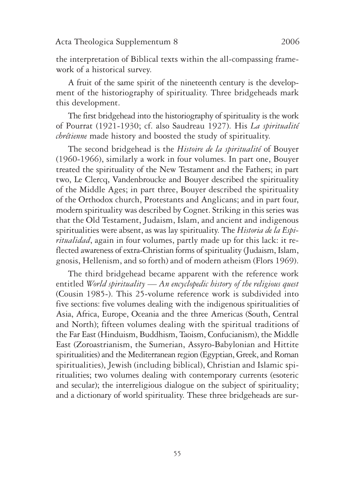the interpretation of Biblical texts within the all-compassing framework of a historical survey.

A fruit of the same spirit of the nineteenth century is the development of the historiography of spirituality. Three bridgeheads mark this development.

The first bridgehead into the historiography of spirituality is the work of Pourrat (1921-1930; cf. also Saudreau 1927). His *La spiritualité chrétienne* made history and boosted the study of spirituality.

The second bridgehead is the *Histoire de la spiritualité* of Bouyer (1960-1966), similarly a work in four volumes. In part one, Bouyer treated the spirituality of the New Testament and the Fathers; in part two, Le Clercq, Vandenbroucke and Bouyer described the spirituality of the Middle Ages; in part three, Bouyer described the spirituality of the Orthodox church, Protestants and Anglicans; and in part four, modern spirituality was described by Cognet. Striking in this series was that the Old Testament, Judaism, Islam, and ancient and indigenous spiritualities were absent, as was lay spirituality. The *Historia de la Espiritualidad*, again in four volumes, partly made up for this lack: it reflected awareness of extra-Christian forms of spirituality (Judaism, Islam, gnosis, Hellenism, and so forth) and of modern atheism (Flors 1969).

The third bridgehead became apparent with the reference work entitled *World spirituality — An encyclopedic history of the religious quest* (Cousin 1985-). This 25-volume reference work is subdivided into five sections: five volumes dealing with the indigenous spiritualities of Asia, Africa, Europe, Oceania and the three Americas (South, Central and North); fifteen volumes dealing with the spiritual traditions of the Far East (Hinduism, Buddhism, Taoism, Confucianism), the Middle East (Zoroastrianism, the Sumerian, Assyro-Babylonian and Hittite spiritualities) and the Mediterranean region (Egyptian, Greek, and Roman spiritualities), Jewish (including biblical), Christian and Islamic spiritualities; two volumes dealing with contemporary currents (esoteric and secular); the interreligious dialogue on the subject of spirituality; and a dictionary of world spirituality. These three bridgeheads are sur-

55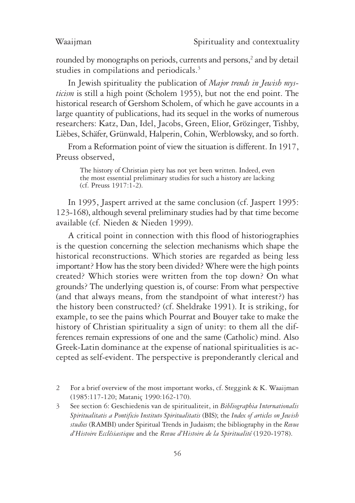rounded by monographs on periods, currents and persons,<sup>2</sup> and by detail studies in compilations and periodicals.<sup>3</sup>

In Jewish spirituality the publication of *Major trends in Jewish mysticism* is still a high point (Scholem 1955), but not the end point. The historical research of Gershom Scholem, of which he gave accounts in a large quantity of publications, had its sequel in the works of numerous researchers: Katz, Dan, Idel, Jacobs, Green, Elior, Grözinger, Tishby, Lièbes, Schäfer, Grünwald, Halperin, Cohin, Werblowsky, and so forth.

From a Reformation point of view the situation is different. In 1917, Preuss observed,

The history of Christian piety has not yet been written. Indeed, even the most essential preliminary studies for such a history are lacking (cf. Preuss 1917:1-2).

In 1995, Jaspert arrived at the same conclusion (cf. Jaspert 1995: 123-168), although several preliminary studies had by that time become available (cf. Nieden & Nieden 1999).

A critical point in connection with this flood of historiographies is the question concerning the selection mechanisms which shape the historical reconstructions. Which stories are regarded as being less important? How has the story been divided? Where were the high points created? Which stories were written from the top down? On what grounds? The underlying question is, of course: From what perspective (and that always means, from the standpoint of what interest?) has the history been constructed? (cf. Sheldrake 1991). It is striking, for example, to see the pains which Pourrat and Bouyer take to make the history of Christian spirituality a sign of unity: to them all the differences remain expressions of one and the same (Catholic) mind. Also Greek-Latin dominance at the expense of national spiritualities is accepted as self-evident. The perspective is preponderantly clerical and

<sup>2</sup> For a brief overview of the most important works, cf. Steggink & K. Waaijman (1985:117-120; Mataniç 1990:162-170).

<sup>3</sup> See section 6: Geschiedenis van de spiritualiteit, in *Bibliographia Internationalis Spiritualitatis a Pontificio Instituto Spiritualitatis* (BIS); the *Index of articles on Jewish studies* (RAMBI) under Spiritual Trends in Judaism; the bibliography in the *Revue d'Histoire Ecclésiastique* and the *Revue d'Histoire de la Spiritualité* (1920-1978).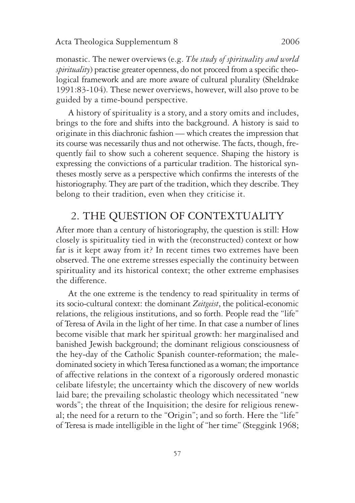monastic. The newer overviews (e.g. *The study of spirituality and world spirituality*) practise greater openness, do not proceed from a specific theological framework and are more aware of cultural plurality (Sheldrake 1991:83-104). These newer overviews, however, will also prove to be guided by a time-bound perspective.

A history of spirituality is a story, and a story omits and includes, brings to the fore and shifts into the background. A history is said to originate in this diachronic fashion — which creates the impression that its course was necessarily thus and not otherwise. The facts, though, frequently fail to show such a coherent sequence. Shaping the history is expressing the convictions of a particular tradition. The historical syntheses mostly serve as a perspective which confirms the interests of the historiography. They are part of the tradition, which they describe. They belong to their tradition, even when they criticise it.

# 2. THE QUESTION OF CONTEXTUALITY

After more than a century of historiography, the question is still: How closely is spirituality tied in with the (reconstructed) context or how far is it kept away from it? In recent times two extremes have been observed. The one extreme stresses especially the continuity between spirituality and its historical context; the other extreme emphasises the difference.

At the one extreme is the tendency to read spirituality in terms of its socio-cultural context: the dominant *Zeitgeist*, the political-economic relations, the religious institutions, and so forth. People read the "life" of Teresa of Avila in the light of her time. In that case a number of lines become visible that mark her spiritual growth: her marginalised and banished Jewish background; the dominant religious consciousness of the hey-day of the Catholic Spanish counter-reformation; the maledominated society in which Teresa functioned as a woman; the importance of affective relations in the context of a rigorously ordered monastic celibate lifestyle; the uncertainty which the discovery of new worlds laid bare; the prevailing scholastic theology which necessitated "new words"; the threat of the Inquisition; the desire for religious renewal; the need for a return to the "Origin"; and so forth. Here the "life" of Teresa is made intelligible in the light of "her time" (Steggink 1968;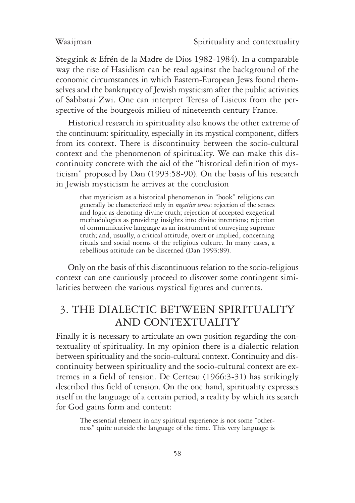Steggink & Efrén de la Madre de Dios 1982-1984). In a comparable way the rise of Hasidism can be read against the background of the economic circumstances in which Eastern-European Jews found themselves and the bankruptcy of Jewish mysticism after the public activities of Sabbatai Zwi. One can interpret Teresa of Lisieux from the perspective of the bourgeois milieu of nineteenth century France.

Historical research in spirituality also knows the other extreme of the continuum: spirituality, especially in its mystical component, differs from its context. There is discontinuity between the socio-cultural context and the phenomenon of spirituality. We can make this discontinuity concrete with the aid of the "historical definition of mysticism" proposed by Dan (1993:58-90). On the basis of his research in Jewish mysticism he arrives at the conclusion

that mysticism as a historical phenomenon in "book" religions can generally be characterized only in *negative terms*: rejection of the senses and logic as denoting divine truth; rejection of accepted exegetical methodologies as providing insights into divine intentions; rejection of communicative language as an instrument of conveying supreme truth; and, usually, a critical attitude, overt or implied, concerning rituals and social norms of the religious culture. In many cases, a rebellious attitude can be discerned (Dan 1993:89).

Only on the basis of this discontinuous relation to the socio-religious context can one cautiously proceed to discover some contingent similarities between the various mystical figures and currents.

# 3. THE DIALECTIC BETWEEN SPIRITUALITY AND CONTEXTUALITY

Finally it is necessary to articulate an own position regarding the contextuality of spirituality. In my opinion there is a dialectic relation between spirituality and the socio-cultural context. Continuity and discontinuity between spirituality and the socio-cultural context are extremes in a field of tension. De Certeau (1966:3-31) has strikingly described this field of tension. On the one hand, spirituality expresses itself in the language of a certain period, a reality by which its search for God gains form and content:

The essential element in any spiritual experience is not some "otherness" quite outside the language of the time. This very language is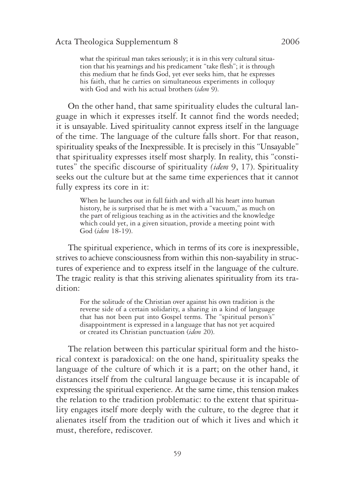what the spiritual man takes seriously; it is in this very cultural situation that his yearnings and his predicament "take flesh"; it is through this medium that he finds God, yet ever seeks him, that he expresses his faith, that he carries on simultaneous experiments in colloquy with God and with his actual brothers (*idem* 9).

On the other hand, that same spirituality eludes the cultural language in which it expresses itself. It cannot find the words needed; it is unsayable. Lived spirituality cannot express itself in the language of the time. The language of the culture falls short. For that reason, spirituality speaks of the Inexpressible. It is precisely in this "Unsayable" that spirituality expresses itself most sharply. In reality, this "constitutes" the specific discourse of spirituality *(idem* 9, 17). Spirituality seeks out the culture but at the same time experiences that it cannot fully express its core in it:

When he launches out in full faith and with all his heart into human history, he is surprised that he is met with a "vacuum," as much on the part of religious teaching as in the activities and the knowledge which could yet, in a given situation, provide a meeting point with God (*idem* 18-19).

The spiritual experience, which in terms of its core is inexpressible, strives to achieve consciousness from within this non-sayability in structures of experience and to express itself in the language of the culture. The tragic reality is that this striving alienates spirituality from its tradition:

For the solitude of the Christian over against his own tradition is the reverse side of a certain solidarity, a sharing in a kind of language that has not been put into Gospel terms. The "spiritual person's" disappointment is expressed in a language that has not yet acquired or created its Christian punctuation (*idem* 20).

The relation between this particular spiritual form and the historical context is paradoxical: on the one hand, spirituality speaks the language of the culture of which it is a part; on the other hand, it distances itself from the cultural language because it is incapable of expressing the spiritual experience. At the same time, this tension makes the relation to the tradition problematic: to the extent that spirituality engages itself more deeply with the culture, to the degree that it alienates itself from the tradition out of which it lives and which it must, therefore, rediscover.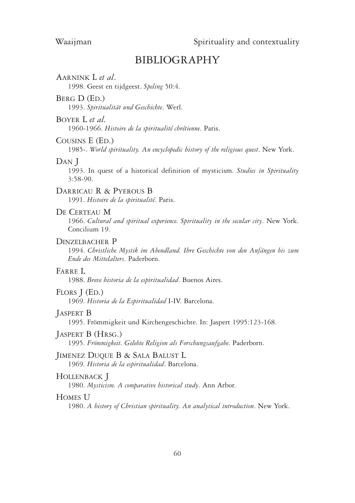Waaijman Spirituality and contextuality

# BIBLIOGRAPHY

AARNINK L *et al*. 1998. Geest en tijdgeest. *Speling* 50:4.

#### BERG D (ED.)

1993. *Spiritualität und Geschichte*. Werl.

# BOYER L *et al.*

1960-1966. *Histoire de la spiritualité chrétienne*. Paris.

## COUSINS E (ED.)

1985-. *World spirituality. An encyclopedic history of the religious quest*. New York.

#### DAN J

1993. In quest of a historical definition of mysticism. *Studies in Spirituality* 3:58-90.

#### DARRICAU R & PYEROUS B 1991. *Histoire de la spiritualité*. Paris.

## DE CERTEAU M

1966. *Cultural and spiritual experience. Spirituality in the secular city*. New York. Concilium 19.

### DINZELBACHER P

1994. *Christliche Mystik im Abendland. Ihre Geschichte von den Anfängen bis zum Ende des Mittelalters*. Paderborn.

#### FARRE L

1988. *Breve historia de la espiritualidad*. Buenos Aires.

#### FLORS J (ED.)

1969. *Historia de la Espiritualidad* I-IV. Barcelona.

### JASPERT B

1995. Frömmigkeit und Kirchengeschichte. In: Jaspert 1995:123-168.

#### JASPERT B (HRSG.)

1995. *Frömmigkeit. Gelebte Religion als Forschungsaufgabe*. Paderborn.

# JIMENEZ DUQUE B & SALA BALUST L

1969. *Historia de la espiritualidad*. Barcelona.

## HOLLENBACK J

1980. *Mysticism. A comparative historical study*. Ann Arbor.

#### HOMES<sub>I</sub>

1980. *A history of Christian spirituality. An analytical introduction*. New York.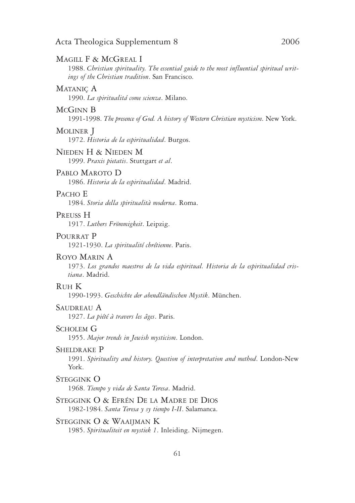# MAGILL F & MCGREAL I

1988. *Christian spirituality. The essential guide to the most influential spiritual writings of the Christian tradition*. San Francisco.

### MATANIÇ A

1990. *La spiritualitá come scienza*. Milano.

#### MCGINN B

1991-1998. *The presence of God. A history of Western Christian mysticism*. New York.

#### MOLINER I

1972. *Historia de la espiritualidad*. Burgos.

#### NIEDEN H & NIEDEN M

1999. *Praxis pietatis*. Stuttgart *et al*.

# PABLO MAROTO D

1986. *Historia de la espiritualidad*. Madrid.

## PACHO E

1984. *Storia della spiritualità moderna*. Roma.

### PREUSS H

1917. *Luthers Frömmigkeit*. Leipzig.

#### POURRAT P

1921-1930. *La spiritualité chrétienne*. Paris.

## ROYO MARIN A

1973. *Los grandos maestros de la vida espiritual. Historia de la espiritualidad cristiana*. Madrid.

## RUH K

1990-1993. *Geschichte der abendländischen Mystik*. München.

### SAUDREAU A

1927. *La piété à travers les âges*. Paris.

### SCHOLEM G

1955. *Major trends in Jewish mysticism*. London.

### SHELDRAKE P

1991. *Spirituality and history. Question of interpretation and method*. London-New York.

#### STEGGINK O

1968. *Tiempo y vida de Santa Teresa*. Madrid.

### STEGGINK O & EFRÉN DE LA MADRE DE DIOS 1982-1984. *Santa Teresa y sy tiempo I-II*. Salamanca.

#### STEGGINK O & WAAIJMAN K 1985. *Spiritualiteit en mystiek 1*. Inleiding. Nijmegen.